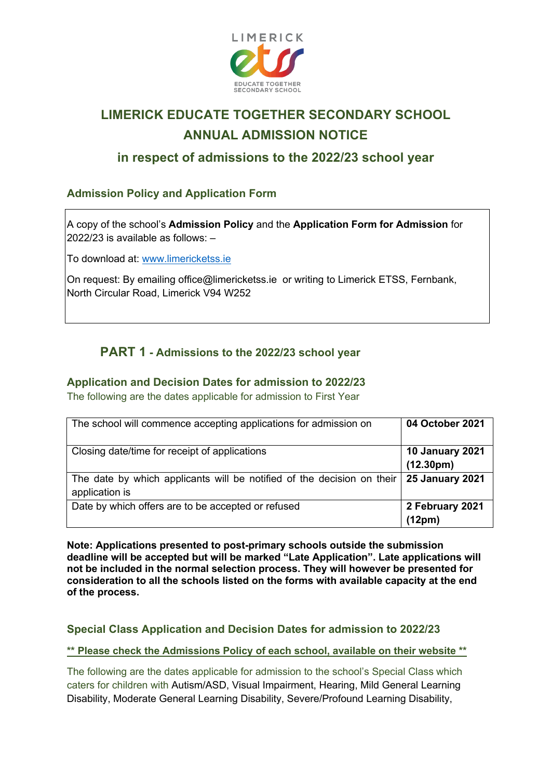

# **LIMERICK EDUCATE TOGETHER SECONDARY SCHOOL ANNUAL ADMISSION NOTICE**

# **in respect of admissions to the 2022/23 school year**

## **Admission Policy and Application Form**

A copy of the school's **Admission Policy** and the **Application Form for Admission** for 2022/23 is available as follows: –

To download at: www.limericketss.ie

On request: By emailing office@limericketss.ie or writing to Limerick ETSS, Fernbank, North Circular Road, Limerick V94 W252

## **PART 1 - Admissions to the 2022/23 school year**

#### **Application and Decision Dates for admission to 2022/23**

The following are the dates applicable for admission to First Year

| The school will commence accepting applications for admission on                         | 04 October 2021              |
|------------------------------------------------------------------------------------------|------------------------------|
| Closing date/time for receipt of applications                                            | 10 January 2021<br>(12.30pm) |
| The date by which applicants will be notified of the decision on their<br>application is | 25 January 2021              |
| Date by which offers are to be accepted or refused                                       | 2 February 2021<br>(12pm)    |

**Note: Applications presented to post-primary schools outside the submission deadline will be accepted but will be marked "Late Application". Late applications will not be included in the normal selection process. They will however be presented for consideration to all the schools listed on the forms with available capacity at the end of the process.** 

### **Special Class Application and Decision Dates for admission to 2022/23**

**\*\* Please check the Admissions Policy of each school, available on their website \*\***

The following are the dates applicable for admission to the school's Special Class which caters for children with Autism/ASD, Visual Impairment, Hearing, Mild General Learning Disability, Moderate General Learning Disability, Severe/Profound Learning Disability,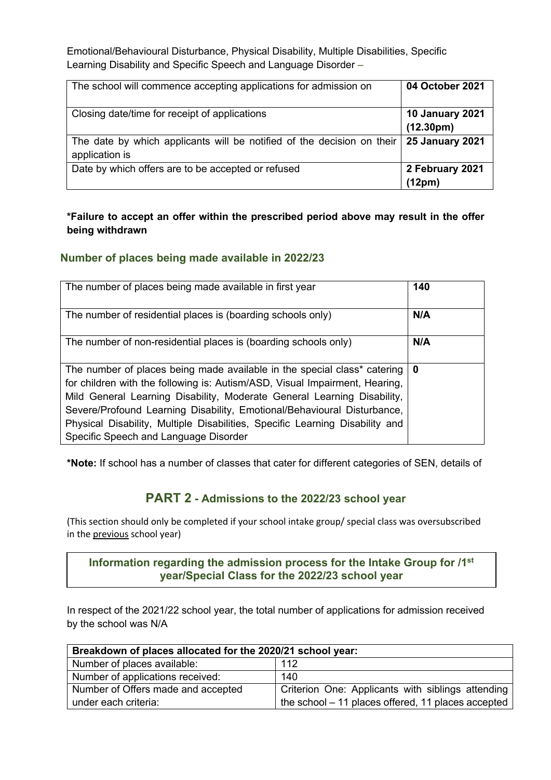Emotional/Behavioural Disturbance, Physical Disability, Multiple Disabilities, Specific Learning Disability and Specific Speech and Language Disorder –

| The school will commence accepting applications for admission on                         | 04 October 2021                                  |
|------------------------------------------------------------------------------------------|--------------------------------------------------|
| Closing date/time for receipt of applications                                            | <b>10 January 2021</b><br>(12.30 <sub>pm</sub> ) |
| The date by which applicants will be notified of the decision on their<br>application is | <b>25 January 2021</b>                           |
| Date by which offers are to be accepted or refused                                       | 2 February 2021<br>(12pm)                        |

#### **\*Failure to accept an offer within the prescribed period above may result in the offer being withdrawn**

#### **Number of places being made available in 2022/23**

| The number of places being made available in first year                                                                                                                                                                                                                                                                                                                                                                                            | 140 |
|----------------------------------------------------------------------------------------------------------------------------------------------------------------------------------------------------------------------------------------------------------------------------------------------------------------------------------------------------------------------------------------------------------------------------------------------------|-----|
| The number of residential places is (boarding schools only)                                                                                                                                                                                                                                                                                                                                                                                        | N/A |
| The number of non-residential places is (boarding schools only)                                                                                                                                                                                                                                                                                                                                                                                    | N/A |
| The number of places being made available in the special class <sup>*</sup> catering<br>for children with the following is: Autism/ASD, Visual Impairment, Hearing,<br>Mild General Learning Disability, Moderate General Learning Disability,<br>Severe/Profound Learning Disability, Emotional/Behavioural Disturbance,<br>Physical Disability, Multiple Disabilities, Specific Learning Disability and<br>Specific Speech and Language Disorder | 0   |

**\*Note:** If school has a number of classes that cater for different categories of SEN, details of

## **PART 2 - Admissions to the 2022/23 school year**

(This section should only be completed if your school intake group/ special class was oversubscribed in the previous school year)

**Information regarding the admission process for the Intake Group for /1st year/Special Class for the 2022/23 school year**

In respect of the 2021/22 school year, the total number of applications for admission received by the school was N/A

| Breakdown of places allocated for the 2020/21 school year: |                                                     |  |
|------------------------------------------------------------|-----------------------------------------------------|--|
| Number of places available:                                | 112                                                 |  |
| Number of applications received:                           | 140                                                 |  |
| Number of Offers made and accepted                         | Criterion One: Applicants with siblings attending   |  |
| under each criteria:                                       | the school $-11$ places offered, 11 places accepted |  |